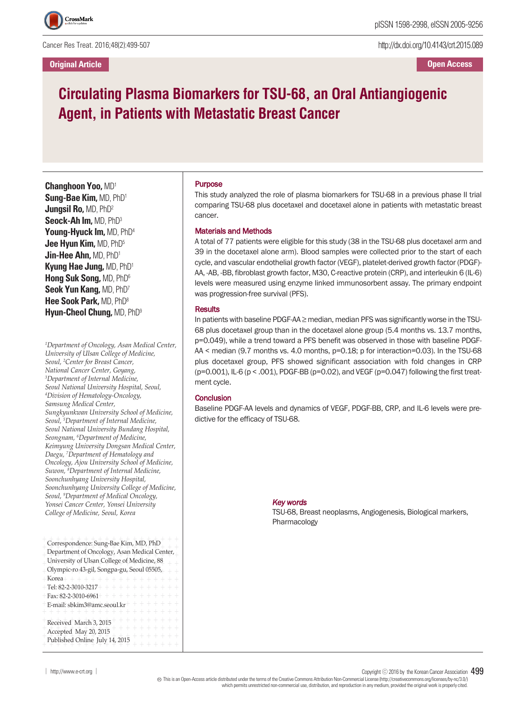Cancer Res Treat. 2016;48(2):499-507

**Original Article**

http://dx.doi.org/10.4143/crt.2015.089

**Open Access**

# **Circulating Plasma Biomarkers for TSU-68, an Oral Antiangiogenic Agent, in Patients with Metastatic Breast Cancer**

**Changhoon Yoo,** MD1 **Sung-Bae Kim,** MD, PhD1 **Jungsil Ro,** MD, PhD2 **Seock-Ah Im,** MD, PhD3 **Young-Hyuck Im,** MD, PhD4 **Jee Hyun Kim,** MD, PhD5 **Jin-Hee Ahn,** MD, PhD1 **Kyung Hae Jung,** MD, PhD1 **Hong Suk Song,** MD, PhD6 **Seok Yun Kang,** MD, PhD7 **Hee Sook Park,** MD, PhD8 **Hyun-Cheol Chung,** MD, PhD9

*1 Department of Oncology, Asan Medical Center, University of Ulsan College of Medicine, Seoul, <sup>2</sup> Center for Breast Cancer, National Cancer Center, Goyang, 3 Department of Internal Medicine, Seoul National University Hospital, Seoul, 4 Division of Hematology-Oncology, Samsung Medical Center, Sungkyunkwan University School of Medicine, Seoul, <sup>5</sup> Department of Internal Medicine, Seoul National University Bundang Hospital, Seongnam, <sup>6</sup> Department of Medicine, Keimyung University Dongsan Medical Center, Daegu, <sup>7</sup> Department of Hematology and Oncology, Ajou University School of Medicine, Suwon, <sup>8</sup> Department of Internal Medicine, Soonchunhyang University Hospital, Soonchunhyang University College of Medicine, Seoul, <sup>9</sup> Department of Medical Oncology, Yonsei Cancer Center, Yonsei University College of Medicine, Seoul, Korea*

| Correspondence: Sung-Bae Kim, MD, PhD<br>Department of Oncology, Asan Medical Center,<br>University of Ulsan College of Medicine, 88<br>Olympic-ro 43-gil, Songpa-gu, Seoul 05505,<br>+Korea+ + + + + + + + + + + + + + +<br>$+$ Tel: 82-2-3010-3217 + + + + + + + + + + + +<br>$+$ Fax:82-2-3010-6961+++++++++++++<br>$+E$ -mail: sbkim3@amc.seoul.kr <sup>+</sup> + + + + + + +<br>$+ + + + + + + +$ |
|--------------------------------------------------------------------------------------------------------------------------------------------------------------------------------------------------------------------------------------------------------------------------------------------------------------------------------------------------------------------------------------------------------|
| $+ + + +$<br>Received March 3, 2015<br>+ + + + + + +<br>Accepted May 20, 2015<br>$+ + + +$<br>Published Online July 14, 2015                                                                                                                                                                                                                                                                           |

#### Purpose

This study analyzed the role of plasma biomarkers for TSU-68 in a previous phase II trial comparing TSU-68 plus docetaxel and docetaxel alone in patients with metastatic breast cancer.

#### Materials and Methods

A total of 77 patients were eligible for this study (38 in the TSU-68 plus docetaxel arm and 39 in the docetaxel alone arm). Blood samples were collected prior to the start of each cycle, and vascular endothelial growth factor (VEGF), platelet-derived growth factor (PDGF)- AA, -AB, -BB, fibroblast growth factor, M30, C-reactive protein (CRP), and interleukin 6 (IL-6) levels were measured using enzyme linked immunosorbent assay. The primary endpoint was progression-free survival (PFS).

#### **Results**

In patients with baseline PDGF-AA $\geq$  median, median PFS was significantly worse in the TSU-68 plus docetaxel group than in the docetaxel alone group (5.4 months vs. 13.7 months, p=0.049), while a trend toward a PFS benefit was observed in those with baseline PDGF-AA < median (9.7 months vs. 4.0 months, p=0.18; p for interaction=0.03). In the TSU-68 plus docetaxel group, PFS showed significant association with fold changes in CRP (p=0.001), IL-6 (p < .001), PDGF-BB (p=0.02), and VEGF (p=0.047) following the first treatment cycle.

#### **Conclusion**

Baseline PDGF-AA levels and dynamics of VEGF, PDGF-BB, CRP, and IL-6 levels were predictive for the efficacy of TSU-68.

#### *Key words*

TSU-68, Breast neoplasms, Angiogenesis, Biological markers, Pharmacology

│ http://www.e-crt.org │ Copyright ⓒ <sup>2016</sup> by the Korean Cancer Association 499

Thisis an Open-Access article distributed under the terms of the Creative Commons Attribution Non-CommercialLicense (http://creativecommons.org/licenses/by-nc/3.0/) which permits unrestricted non-commercial use, distribution, and reproduction in any medium, provided the original workis properlycited.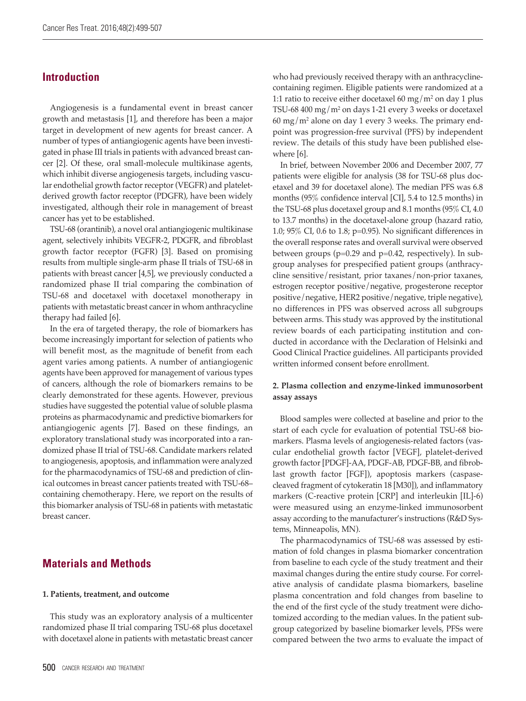### **Introduction**

Angiogenesis is a fundamental event in breast cancer growth and metastasis [1], and therefore has been a major target in development of new agents for breast cancer. A number of types of antiangiogenic agents have been investigated in phase III trials in patients with advanced breast cancer [2]. Of these, oral small-molecule multikinase agents, which inhibit diverse angiogenesis targets, including vascular endothelial growth factor receptor (VEGFR) and plateletderived growth factor receptor (PDGFR), have been widely investigated, although their role in management of breast cancer has yet to be established.

TSU-68 (orantinib), a novel oral antiangiogenic multikinase agent, selectively inhibits VEGFR-2, PDGFR, and fibroblast growth factor receptor (FGFR) [3]. Based on promising results from multiple single-arm phase II trials of TSU-68 in patients with breast cancer [4,5], we previously conducted a randomized phase II trial comparing the combination of TSU-68 and docetaxel with docetaxel monotherapy in patients with metastatic breast cancer in whom anthracycline therapy had failed [6].

In the era of targeted therapy, the role of biomarkers has become increasingly important for selection of patients who will benefit most, as the magnitude of benefit from each agent varies among patients. A number of antiangiogenic agents have been approved for management of various types of cancers, although the role of biomarkers remains to be clearly demonstrated for these agents. However, previous studies have suggested the potential value of soluble plasma proteins as pharmacodynamic and predictive biomarkers for antiangiogenic agents [7]. Based on these findings, an exploratory translational study was incorporated into a randomized phase II trial of TSU-68. Candidate markers related to angiogenesis, apoptosis, and inflammation were analyzed for the pharmacodynamics of TSU-68 and prediction of clinical outcomes in breast cancer patients treated with TSU-68– containing chemotherapy. Here, we report on the results of this biomarker analysis of TSU-68 in patients with metastatic breast cancer.

## **Materials and Methods**

#### **1. Patients, treatment, and outcome**

This study was an exploratory analysis of a multicenter randomized phase II trial comparing TSU-68 plus docetaxel with docetaxel alone in patients with metastatic breast cancer who had previously received therapy with an anthracyclinecontaining regimen. Eligible patients were randomized at a 1:1 ratio to receive either docetaxel 60 mg/m<sup>2</sup> on day 1 plus TSU-68 400 mg/m<sup>2</sup> on days 1-21 every 3 weeks or docetaxel  $60 \text{ mg/m}^2$  alone on day 1 every 3 weeks. The primary endpoint was progression-free survival (PFS) by independent review. The details of this study have been published elsewhere [6].

In brief, between November 2006 and December 2007, 77 patients were eligible for analysis (38 for TSU-68 plus docetaxel and 39 for docetaxel alone). The median PFS was 6.8 months (95% confidence interval [CI], 5.4 to 12.5 months) in the TSU-68 plus docetaxel group and 8.1 months (95% CI, 4.0 to 13.7 months) in the docetaxel-alone group (hazard ratio, 1.0; 95% CI, 0.6 to 1.8; p=0.95). No significant differences in the overall response rates and overall survival were observed between groups (p=0.29 and p=0.42, respectively). In subgroup analyses for prespecified patient groups (anthracycline sensitive/resistant, prior taxanes/non-prior taxanes, estrogen receptor positive/negative, progesterone receptor positive/negative, HER2 positive/negative, triple negative), no differences in PFS was observed across all subgroups between arms. This study was approved by the institutional review boards of each participating institution and conducted in accordance with the Declaration of Helsinki and Good Clinical Practice guidelines. All participants provided written informed consent before enrollment.

#### **2. Plasma collection and enzyme-linked immunosorbent assay assays**

Blood samples were collected at baseline and prior to the start of each cycle for evaluation of potential TSU-68 biomarkers. Plasma levels of angiogenesis-related factors (vascular endothelial growth factor [VEGF], platelet-derived growth factor [PDGF]-AA, PDGF-AB, PDGF-BB, and fibroblast growth factor [FGF]), apoptosis markers (caspasecleaved fragment of cytokeratin 18 [M30]), and inflammatory markers (C-reactive protein [CRP] and interleukin [IL]-6) were measured using an enzyme-linked immunosorbent assay according to the manufacturer's instructions (R&D Systems, Minneapolis, MN).

The pharmacodynamics of TSU-68 was assessed by estimation of fold changes in plasma biomarker concentration from baseline to each cycle of the study treatment and their maximal changes during the entire study course. For correlative analysis of candidate plasma biomarkers, baseline plasma concentration and fold changes from baseline to the end of the first cycle of the study treatment were dichotomized according to the median values. In the patient subgroup categorized by baseline biomarker levels, PFSs were compared between the two arms to evaluate the impact of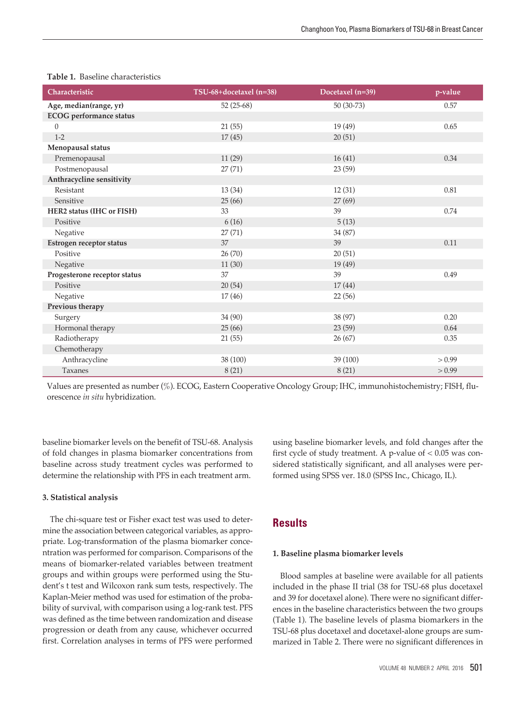| Characteristic                 | TSU-68+docetaxel (n=38) | Docetaxel (n=39) | p-value |
|--------------------------------|-------------------------|------------------|---------|
| Age, median(range, yr)         | 52 (25-68)              | 50 (30-73)       | 0.57    |
| <b>ECOG</b> performance status |                         |                  |         |
| 0                              | 21(55)                  | 19(49)           | 0.65    |
| $1 - 2$                        | 17(45)                  | 20(51)           |         |
| Menopausal status              |                         |                  |         |
| Premenopausal                  | 11(29)                  | 16(41)           | 0.34    |
| Postmenopausal                 | 27(71)                  | 23 (59)          |         |
| Anthracycline sensitivity      |                         |                  |         |
| Resistant                      | 13(34)                  | 12(31)           | 0.81    |
| Sensitive                      | 25(66)                  | 27(69)           |         |
| HER2 status (IHC or FISH)      | 33                      | 39               | 0.74    |
| Positive                       | 6(16)                   | 5(13)            |         |
| Negative                       | 27(71)                  | 34 (87)          |         |
| Estrogen receptor status       | 37                      | 39               | 0.11    |
| Positive                       | 26(70)                  | 20(51)           |         |
| Negative                       | 11(30)                  | 19 (49)          |         |
| Progesterone receptor status   | 37                      | 39               | 0.49    |
| Positive                       | 20(54)                  | 17(44)           |         |
| Negative                       | 17(46)                  | 22(56)           |         |
| Previous therapy               |                         |                  |         |
| Surgery                        | 34 (90)                 | 38 (97)          | 0.20    |
| Hormonal therapy               | 25(66)                  | 23 (59)          | 0.64    |
| Radiotherapy                   | 21(55)                  | 26(67)           | 0.35    |
| Chemotherapy                   |                         |                  |         |
| Anthracycline                  | 38 (100)                | 39 (100)         | > 0.99  |
| Taxanes                        | 8(21)                   | 8(21)            | > 0.99  |

#### **Table 1.** Baseline characteristics

Values are presented as number (%). ECOG, Eastern Cooperative Oncology Group; IHC, immunohistochemistry; FISH, fluorescence *in situ* hybridization.

baseline biomarker levels on the benefit of TSU-68. Analysis of fold changes in plasma biomarker concentrations from baseline across study treatment cycles was performed to determine the relationship with PFS in each treatment arm.

#### **3. Statistical analysis**

The chi-square test or Fisher exact test was used to determine the association between categorical variables, as appropriate. Log-transformation of the plasma biomarker concentration was performed for comparison. Comparisons of the means of biomarker-related variables between treatment groups and within groups were performed using the Student's t test and Wilcoxon rank sum tests, respectively. The Kaplan-Meier method was used for estimation of the probability of survival, with comparison using a log-rank test. PFS was defined as the time between randomization and disease progression or death from any cause, whichever occurred first. Correlation analyses in terms of PFS were performed

using baseline biomarker levels, and fold changes after the first cycle of study treatment. A p-value of  $< 0.05$  was considered statistically significant, and all analyses were performed using SPSS ver. 18.0 (SPSS Inc., Chicago, IL).

## **Results**

#### **1. Baseline plasma biomarker levels**

Blood samples at baseline were available for all patients included in the phase II trial (38 for TSU-68 plus docetaxel and 39 for docetaxel alone). There were no significant differences in the baseline characteristics between the two groups (Table 1). The baseline levels of plasma biomarkers in the TSU-68 plus docetaxel and docetaxel-alone groups are summarized in Table 2. There were no significant differences in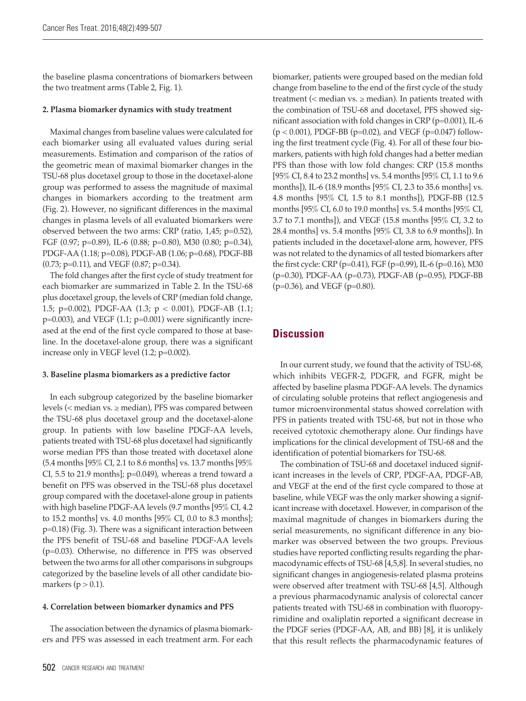the baseline plasma concentrations of biomarkers between the two treatment arms (Table 2, Fig. 1).

#### **2. Plasma biomarker dynamics with study treatment**

Maximal changes from baseline values were calculated for each biomarker using all evaluated values during serial measurements. Estimation and comparison of the ratios of the geometric mean of maximal biomarker changes in the TSU-68 plus docetaxel group to those in the docetaxel-alone group was performed to assess the magnitude of maximal changes in biomarkers according to the treatment arm (Fig. 2). However, no significant differences in the maximal changes in plasma levels of all evaluated biomarkers were observed between the two arms: CRP (ratio,  $1,45$ ;  $p=0.52$ ), FGF (0.97; p=0.89), IL-6 (0.88; p=0.80), M30 (0.80; p=0.34), PDGF-AA (1.18; p=0.08), PDGF-AB (1.06; p=0.68), PDGF-BB (0.73; p=0.11), and VEGF (0.87; p=0.34).

The fold changes after the first cycle of study treatment for each biomarker are summarized in Table 2. In the TSU-68 plus docetaxel group, the levels of CRP (median fold change, 1.5; p=0.002), PDGF-AA (1.3; p < 0.001), PDGF-AB (1.1;  $p=0.003$ ), and VEGF (1.1;  $p=0.001$ ) were significantly increased at the end of the first cycle compared to those at baseline. In the docetaxel-alone group, there was a significant increase only in VEGF level (1.2; p=0.002).

#### **3. Baseline plasma biomarkers as a predictive factor**

In each subgroup categorized by the baseline biomarker levels ( $\leq$  median vs.  $\geq$  median), PFS was compared between the TSU-68 plus docetaxel group and the docetaxel-alone group. In patients with low baseline PDGF-AA levels, patients treated with TSU-68 plus docetaxel had significantly worse median PFS than those treated with docetaxel alone (5.4 months [95% CI, 2.1 to 8.6 months] vs. 13.7 months [95% CI, 5.5 to 21.9 months]; p=0.049), whereas a trend toward a benefit on PFS was observed in the TSU-68 plus docetaxel group compared with the docetaxel-alone group in patients with high baseline PDGF-AA levels (9.7 months [95% CI, 4.2 to 15.2 months] vs. 4.0 months [95% CI, 0.0 to 8.3 months]; p=0.18) (Fig. 3). There was a significant interaction between the PFS benefit of TSU-68 and baseline PDGF-AA levels (p=0.03). Otherwise, no difference in PFS was observed between the two arms for all other comparisons in subgroups categorized by the baseline levels of all other candidate biomarkers ( $p > 0.1$ ).

#### **4. Correlation between biomarker dynamics and PFS**

The association between the dynamics of plasma biomarkers and PFS was assessed in each treatment arm. For each biomarker, patients were grouped based on the median fold change from baseline to the end of the first cycle of the study treatment ( $\leq$  median vs.  $\geq$  median). In patients treated with the combination of TSU-68 and docetaxel, PFS showed significant association with fold changes in CRP (p=0.001), IL-6  $(p < 0.001)$ , PDGF-BB (p=0.02), and VEGF (p=0.047) following the first treatment cycle (Fig. 4). For all of these four biomarkers, patients with high fold changes had a better median PFS than those with low fold changes: CRP (15.8 months [95% CI, 8.4 to 23.2 months] vs. 5.4 months [95% CI, 1.1 to 9.6 months]), IL-6 (18.9 months [95% CI, 2.3 to 35.6 months] vs. 4.8 months [95% CI, 1.5 to 8.1 months]), PDGF-BB (12.5 months [95% CI, 6.0 to 19.0 months] vs. 5.4 months [95% CI, 3.7 to 7.1 months]), and VEGF (15.8 months [95% CI, 3.2 to 28.4 months] vs. 5.4 months [95% CI, 3.8 to 6.9 months]). In patients included in the docetaxel-alone arm, however, PFS was not related to the dynamics of all tested biomarkers after the first cycle: CRP (p=0.41), FGF (p=0.99), IL-6 (p=0.16), M30 (p=0.30), PDGF-AA (p=0.73), PDGF-AB (p=0.95), PDGF-BB  $(p=0.36)$ , and VEGF ( $p=0.80$ ).

## **Discussion**

In our current study, we found that the activity of TSU-68, which inhibits VEGFR-2, PDGFR, and FGFR, might be affected by baseline plasma PDGF-AA levels. The dynamics of circulating soluble proteins that reflect angiogenesis and tumor microenvironmental status showed correlation with PFS in patients treated with TSU-68, but not in those who received cytotoxic chemotherapy alone. Our findings have implications for the clinical development of TSU-68 and the identification of potential biomarkers for TSU-68.

The combination of TSU-68 and docetaxel induced significant increases in the levels of CRP, PDGF-AA, PDGF-AB, and VEGF at the end of the first cycle compared to those at baseline, while VEGF was the only marker showing a significant increase with docetaxel. However, in comparison of the maximal magnitude of changes in biomarkers during the serial measurements, no significant difference in any biomarker was observed between the two groups. Previous studies have reported conflicting results regarding the pharmacodynamic effects of TSU-68 [4,5,8]. In several studies, no significant changes in angiogenesis-related plasma proteins were observed after treatment with TSU-68 [4,5]. Although a previous pharmacodynamic analysis of colorectal cancer patients treated with TSU-68 in combination with fluoropyrimidine and oxaliplatin reported a significant decrease in the PDGF series (PDGF-AA, AB, and BB) [8], it is unlikely that this result reflects the pharmacodynamic features of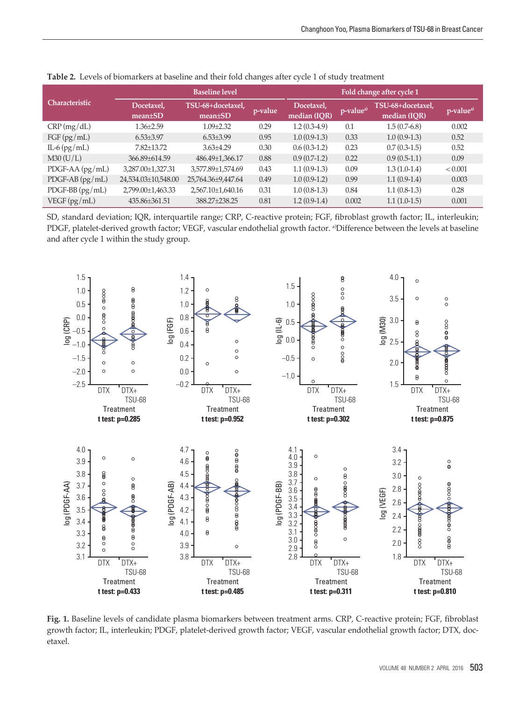| <b>Characteristic</b> | <b>Baseline level</b>       |                                    |         | Fold change after cycle 1  |                       |                                   |                       |
|-----------------------|-----------------------------|------------------------------------|---------|----------------------------|-----------------------|-----------------------------------|-----------------------|
|                       | Docetaxel,<br>$mean \pm SD$ | TSU-68+docetaxel,<br>$mean \pm SD$ | p-value | Docetaxel,<br>median (IQR) | p-value <sup>a)</sup> | TSU-68+docetaxel,<br>median (IQR) | p-value <sup>a)</sup> |
| CRP(mg/dL)            | $1.36 + 2.59$               | $1.09 + 2.32$                      | 0.29    | $1.2(0.3-4.9)$             | 0.1                   | $1.5(0.7-6.8)$                    | 0.002                 |
| $FGF$ (pg/mL)         | $6.53\pm3.97$               | $6.53{\pm}3.99$                    | 0.95    | $1.0(0.9-1.3)$             | 0.33                  | $1.0(0.9-1.3)$                    | 0.52                  |
| IL-6 $(pg/mL)$        | $7.82 \pm 13.72$            | $3.63 + 4.29$                      | 0.30    | $0.6(0.3-1.2)$             | 0.23                  | $0.7(0.3-1.5)$                    | 0.52                  |
| M30 (U/L)             | 366.89±614.59               | 486.49±1,366.17                    | 0.88    | $0.9(0.7-1.2)$             | 0.22                  | $0.9(0.5-1.1)$                    | 0.09                  |
| PDGF-AA $(pg/mL)$     | 3,287.00±1,327.31           | 3,577.89±1,574.69                  | 0.43    | $1.1(0.9-1.3)$             | 0.09                  | $1.3(1.0-1.4)$                    | < 0.001               |
| $PDGF-AB (pg/mL)$     | 24,534.03±10,548.00         | 25,764.36±9,447.64                 | 0.49    | $1.0(0.9-1.2)$             | 0.99                  | $1.1(0.9-1.4)$                    | 0.003                 |
| $PDGF-BB (pg/mL)$     | 2,799.00±1,463.33           | 2,567.10±1,640.16                  | 0.31    | $1.0(0.8-1.3)$             | 0.84                  | $1.1(0.8-1.3)$                    | 0.28                  |
| VEGF (pg/mL)          | 435.86±361.51               | 388.27±238.25                      | 0.81    | $1.2(0.9-1.4)$             | 0.002                 | $1.1(1.0-1.5)$                    | 0.001                 |

**Table 2.** Levels of biomarkers at baseline and their fold changes after cycle 1 of study treatment

SD, standard deviation; IQR, interquartile range; CRP, C-reactive protein; FGF, fibroblast growth factor; IL, interleukin; PDGF, platelet-derived growth factor; VEGF, vascular endothelial growth factor. a) Difference between the levels at baseline and after cycle 1 within the study group.



**Fig. 1.** Baseline levels of candidate plasma biomarkers between treatment arms. CRP, C-reactive protein; FGF, fibroblast growth factor; IL, interleukin; PDGF, platelet-derived growth factor; VEGF, vascular endothelial growth factor; DTX, docetaxel.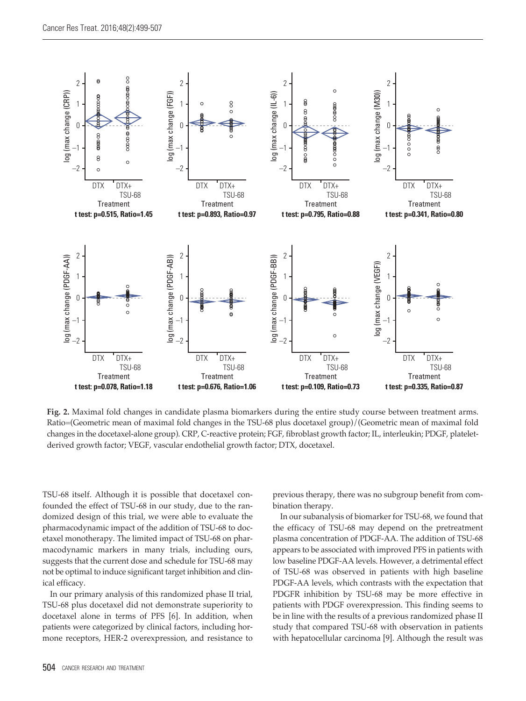

**Fig. 2.** Maximal fold changes in candidate plasma biomarkers during the entire study course between treatment arms. Ratio=(Geometric mean of maximal fold changes in the TSU-68 plus docetaxel group)/(Geometric mean of maximal fold changes in the docetaxel-alone group). CRP, C-reactive protein; FGF, fibroblast growth factor; IL, interleukin; PDGF, plateletderived growth factor; VEGF, vascular endothelial growth factor; DTX, docetaxel.

TSU-68 itself. Although it is possible that docetaxel confounded the effect of TSU-68 in our study, due to the randomized design of this trial, we were able to evaluate the pharmacodynamic impact of the addition of TSU-68 to docetaxel monotherapy. The limited impact of TSU-68 on pharmacodynamic markers in many trials, including ours, suggests that the current dose and schedule for TSU-68 may not be optimal to induce significant target inhibition and clinical efficacy.

In our primary analysis of this randomized phase II trial, TSU-68 plus docetaxel did not demonstrate superiority to docetaxel alone in terms of PFS [6]. In addition, when patients were categorized by clinical factors, including hormone receptors, HER-2 overexpression, and resistance to

previous therapy, there was no subgroup benefit from combination therapy.

In our subanalysis of biomarker for TSU-68, we found that the efficacy of TSU-68 may depend on the pretreatment plasma concentration of PDGF-AA. The addition of TSU-68 appears to be associated with improved PFS in patients with low baseline PDGF-AA levels. However, a detrimental effect of TSU-68 was observed in patients with high baseline PDGF-AA levels, which contrasts with the expectation that PDGFR inhibition by TSU-68 may be more effective in patients with PDGF overexpression. This finding seems to be in line with the results of a previous randomized phase II study that compared TSU-68 with observation in patients with hepatocellular carcinoma [9]. Although the result was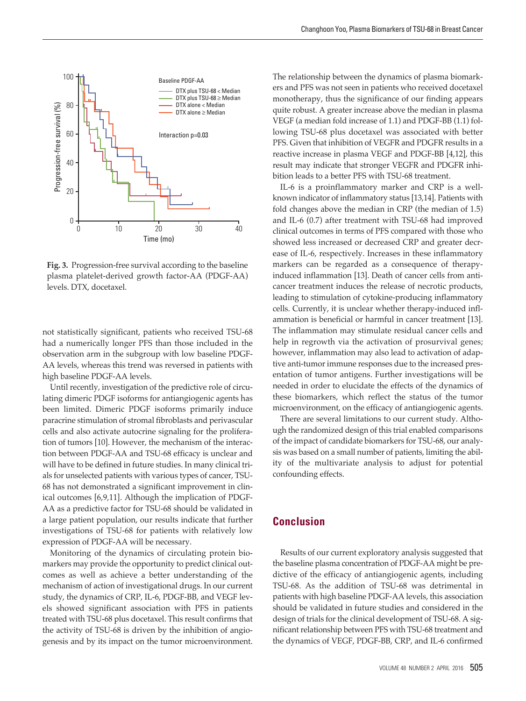

**Fig. 3.** Progression-free survival according to the baseline plasma platelet-derived growth factor-AA (PDGF-AA) levels. DTX, docetaxel.

not statistically significant, patients who received TSU-68 had a numerically longer PFS than those included in the observation arm in the subgroup with low baseline PDGF-AA levels, whereas this trend was reversed in patients with high baseline PDGF-AA levels.

Until recently, investigation of the predictive role of circulating dimeric PDGF isoforms for antiangiogenic agents has been limited. Dimeric PDGF isoforms primarily induce paracrine stimulation of stromal fibroblasts and perivascular cells and also activate autocrine signaling for the proliferation of tumors [10]. However, the mechanism of the interaction between PDGF-AA and TSU-68 efficacy is unclear and will have to be defined in future studies. In many clinical trials for unselected patients with various types of cancer, TSU-68 has not demonstrated a significant improvement in clinical outcomes [6,9,11]. Although the implication of PDGF-AA as a predictive factor for TSU-68 should be validated in a large patient population, our results indicate that further investigations of TSU-68 for patients with relatively low expression of PDGF-AA will be necessary.

Monitoring of the dynamics of circulating protein biomarkers may provide the opportunity to predict clinical outcomes as well as achieve a better understanding of the mechanism of action of investigational drugs. In our current study, the dynamics of CRP, IL-6, PDGF-BB, and VEGF levels showed significant association with PFS in patients treated with TSU-68 plus docetaxel. This result confirms that the activity of TSU-68 is driven by the inhibition of angiogenesis and by its impact on the tumor microenvironment.

The relationship between the dynamics of plasma biomarkers and PFS was not seen in patients who received docetaxel monotherapy, thus the significance of our finding appears quite robust. A greater increase above the median in plasma VEGF (a median fold increase of 1.1) and PDGF-BB (1.1) following TSU-68 plus docetaxel was associated with better PFS. Given that inhibition of VEGFR and PDGFR results in a reactive increase in plasma VEGF and PDGF-BB [4,12], this result may indicate that stronger VEGFR and PDGFR inhibition leads to a better PFS with TSU-68 treatment.

IL-6 is a proinflammatory marker and CRP is a wellknown indicator of inflammatory status [13,14]. Patients with fold changes above the median in CRP (the median of 1.5) and IL-6 (0.7) after treatment with TSU-68 had improved clinical outcomes in terms of PFS compared with those who showed less increased or decreased CRP and greater decrease of IL-6, respectively. Increases in these inflammatory markers can be regarded as a consequence of therapyinduced inflammation [13]. Death of cancer cells from anticancer treatment induces the release of necrotic products, leading to stimulation of cytokine-producing inflammatory cells. Currently, it is unclear whether therapy-induced inflammation is beneficial or harmful in cancer treatment [13]. The inflammation may stimulate residual cancer cells and help in regrowth via the activation of prosurvival genes; however, inflammation may also lead to activation of adaptive anti-tumor immune responses due to the increased presentation of tumor antigens. Further investigations will be needed in order to elucidate the effects of the dynamics of these biomarkers, which reflect the status of the tumor microenvironment, on the efficacy of antiangiogenic agents.

There are several limitations to our current study. Although the randomized design of this trial enabled comparisons of the impact of candidate biomarkers for TSU-68, our analysis was based on a small number of patients, limiting the ability of the multivariate analysis to adjust for potential confounding effects.

## **Conclusion**

Results of our current exploratory analysis suggested that the baseline plasma concentration of PDGF-AA might be predictive of the efficacy of antiangiogenic agents, including TSU-68. As the addition of TSU-68 was detrimental in patients with high baseline PDGF-AA levels, this association should be validated in future studies and considered in the design of trials for the clinical development of TSU-68. A significant relationship between PFS with TSU-68 treatment and the dynamics of VEGF, PDGF-BB, CRP, and IL-6 confirmed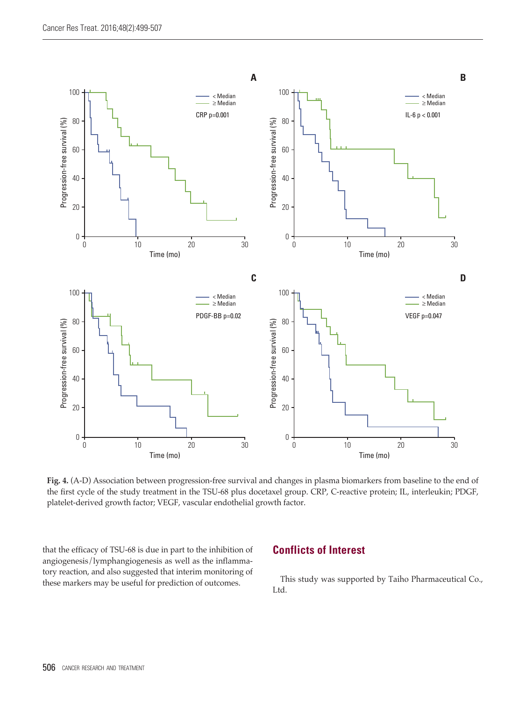

**Fig. 4.** (A-D) Association between progression-free survival and changes in plasma biomarkers from baseline to the end of the first cycle of the study treatment in the TSU-68 plus docetaxel group. CRP, C-reactive protein; IL, interleukin; PDGF, platelet-derived growth factor; VEGF, vascular endothelial growth factor.

that the efficacy of TSU-68 is due in part to the inhibition of angiogenesis/lymphangiogenesis as well as the inflammatory reaction, and also suggested that interim monitoring of these markers may be useful for prediction of outcomes.

## **Conflicts of Interest**

This study was supported by Taiho Pharmaceutical Co., Ltd.